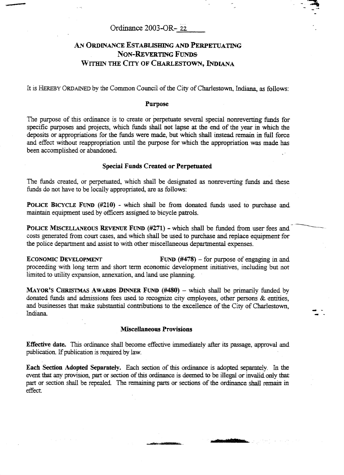# Ordinance 2003-OR- *22*

# **An ORDINANCE ESTABLISHING** *AND* **PERPETUATlNG NON-REVERTING** Funds **Within** THE **CITY OF CHARLESTOWN, IDIANA**

It is **Hereby** ORDAINED bythe Common Council of the City of Charlestown, **Indiana,** as follows:

#### **Purpose**

The purpose of this ordinance is to create or perpetuate several special nonreverting funds for specific purposes and projects, which funds shall not lapse **at** the end of the year in which the deposits or appropriations for the **funds** were **made,** but which shall instead remain in full force and effect without reappropriation until the purpose for which the appropriation was made **has**  been accomplished or abandoned.

### **Special Funds Created or Perpetuated**

The funds created, or perpetuated, which shall be designated **as** nonreverting funds and these funds do not have to be locally appropriated, are as follows:

**POLICE BICYCLE FUND (#210)** - which shall be from donated funds used to purchase **and maintain** equipment used by officers assigned to bicycle patrols.

**POLICE MISCELLANEOUS** REVENUE **FUND (#271)** - which shall be funded from user fees and costs generated from court cases, and which shall be used to purchase and replace equipment for the police department and assist to with other miscellaneous departmental expenses.

**ECONOMIC DEVELOPMENT FUND**  $(\#478)$  – for purpose of engaging in and proceeding with long term and short term economic development initiatives, including but not limited to utility expansion, annexation, and land use planning.

**MAYOR'S CHRISTMAS AWARDS DINNER FUND**  $(\#480)$  **– which shall be primarily funded by** donated funds and admissions fees used to recognize city employees, other persons & entities, and businesses that make substantial contributions to the excellence of the City of Charlestown, Indiana.

#### **Miscellaneous Provisions**

**Effective date.** This ordinance shall become effective immediately after its passage, approval and publication. If publication is required by law.

**Each Section Adopted Separately.** Each section of this ordinance is **adopted** separately. In the event that any provision, part or section of this ordinance is deemed to be illegal or **invalid** only that part or section shall be repealed. The remaining parts or sections of the ordinance shall remain in effect.

atus difitirina.